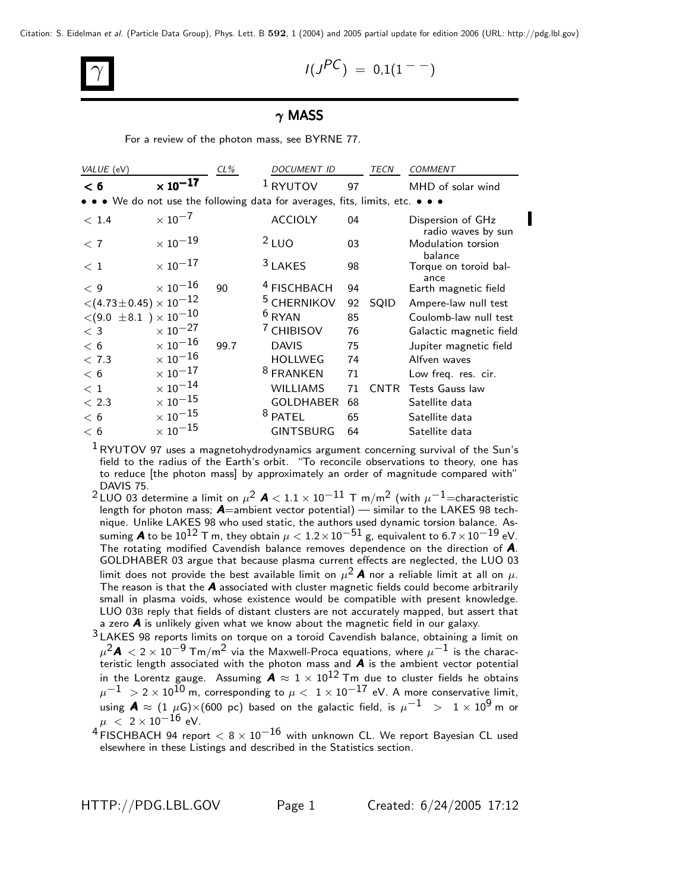Citation: S. Eidelman et al. (Particle Data Group), Phys. Lett. B **592**, 1 (2004) and 2005 partial update for edition 2006 (URL: http://pdg.lbl.gov)

$$
\gamma \qquad \qquad I(J^{PC}) = 0.1(1^{--})
$$

## $\gamma$  MASS

For a review of the photon mass, see BYRNE 77.

| VALUE (eV)                                                                                  |                            | $CL\%$ | <b>DOCUMENT ID</b>     |    | <b>TECN</b> | <b>COMMENT</b>                          |  |  |  |  |  |
|---------------------------------------------------------------------------------------------|----------------------------|--------|------------------------|----|-------------|-----------------------------------------|--|--|--|--|--|
| < 6                                                                                         | $\times$ 10 <sup>-17</sup> |        | $1$ RYUTOV             | 97 |             | MHD of solar wind                       |  |  |  |  |  |
| We do not use the following data for averages, fits, limits, etc. $\bullet \bullet \bullet$ |                            |        |                        |    |             |                                         |  |  |  |  |  |
| < 1.4                                                                                       | $\times$ 10 <sup>-7</sup>  |        | <b>ACCIOLY</b>         | 04 |             | Dispersion of GHz<br>radio waves by sun |  |  |  |  |  |
| < 7                                                                                         | $\times$ $10^{-19}$        |        | $2$ LUO                | 03 |             | Modulation torsion<br>balance           |  |  |  |  |  |
| <~1                                                                                         | $\times$ $10^{-17}$        |        | <sup>3</sup> LAKES     | 98 |             | Torque on toroid bal-<br>ance           |  |  |  |  |  |
| < 9                                                                                         | $\times$ 10 $^{-16}$       | 90     | <sup>4</sup> FISCHBACH | 94 |             | Earth magnetic field                    |  |  |  |  |  |
| $<$ (4.73 $\pm$ 0.45) $\times$ 10 $^{-12}$                                                  |                            |        | <sup>5</sup> CHERNIKOV | 92 | SQID        | Ampere-law null test                    |  |  |  |  |  |
| $<$ (9.0 $\pm$ 8.1 ) $\times$ 10 $^{-10}$                                                   |                            |        | $6$ RYAN               | 85 |             | Coulomb-law null test                   |  |  |  |  |  |
| $<$ 3                                                                                       | $\times$ 10 $^{-27}$       |        | <sup>7</sup> CHIBISOV  | 76 |             | Galactic magnetic field                 |  |  |  |  |  |
| < 6                                                                                         | $\times$ 10 $^{-16}$       | 99.7   | <b>DAVIS</b>           | 75 |             | Jupiter magnetic field                  |  |  |  |  |  |
| < 7.3                                                                                       | $\times$ 10 $^{-16}$       |        | <b>HOLLWEG</b>         | 74 |             | Alfven waves                            |  |  |  |  |  |
| < 6                                                                                         | $\times$ 10 $^{-17}$       |        | <sup>8</sup> FRANKEN   | 71 |             | Low freq. res. cir.                     |  |  |  |  |  |
| < 1                                                                                         | $\times$ $10^{-14}$        |        | <b>WILLIAMS</b>        | 71 | <b>CNTR</b> | <b>Tests Gauss law</b>                  |  |  |  |  |  |
| < 2.3                                                                                       | $\times$ 10 $^{-15}$       |        | <b>GOLDHABER</b>       | 68 |             | Satellite data                          |  |  |  |  |  |
| < 6                                                                                         | $\times$ 10 $^{-15}$       |        | <sup>8</sup> PATEL     | 65 |             | Satellite data                          |  |  |  |  |  |
| < 6                                                                                         | $\times$ $10^{-15}$        |        | <b>GINTSBURG</b>       | 64 |             | Satellite data                          |  |  |  |  |  |

 $1$ RYUTOV 97 uses a magnetohydrodynamics argument concerning survival of the Sun's field to the radius of the Earth's orbit. "To reconcile observations to theory, one has to reduce [the photon mass] by approximately an order of magnitude compared with" DAVIS 75.

<sup>2</sup> LUO 03 determine a limit on  $\mu^2$  **A** < 1.1 × 10<sup>-11</sup> T m/m<sup>2</sup> (with  $\mu^{-1}$ =characteristic length for photon mass;  $\bm{A}$ =ambient vector potential) — similar to the LAKES 98 technique. Unlike LAKES 98 who used static, the authors used dynamic torsion balance. Assuming  $\bm A$  to be  $10^{12}$  T m, they obtain  $\mu < 1.2 \times 10^{-51}$  g, equivalent to  $6.7 \times 10^{-19}$  eV. The rotating modified Cavendish balance removes dependence on the direction of A. GOLDHABER 03 argue that because plasma current effects are neglected, the LUO 03 limit does not provide the best available limit on  $\mu^2$  **A** nor a reliable limit at all on  $\mu$ . The reason is that the  $A$  associated with cluster magnetic fields could become arbitrarily small in plasma voids, whose existence would be compatible with present knowledge. LUO 03B reply that fields of distant clusters are not accurately mapped, but assert that a zero  $\boldsymbol{A}$  is unlikely given what we know about the magnetic field in our galaxy.

3 LAKES 98 reports limits on torque on a toroid Cavendish balance, obtaining a limit on  $\mu^2$ A  $<$  2  $\times$  10 $^{-9}$  Tm/m $^2$  via the Maxwell-Proca equations, where  $\mu^{-1}$  is the characteristic length associated with the photon mass and  $\boldsymbol{A}$  is the ambient vector potential in the Lorentz gauge. Assuming  $\bm{A} \approx 1 \times 10^{12}$  Tm due to cluster fields he obtains  $\mu^{-1}~ >$  2  $\times$  10 $^{10}$  m, corresponding to  $\mu < ~1 \times 10^{-17}$  eV. A more conservative limit, using  $\mathbf{A} \approx (1 \ \mu\mathrm{G}) \times (600 \ \mathrm{pc})$  based on the galactic field, is  $\mu^{-1}$  >  $1 \times 10^9$  m or  $\mu$  < 2 × 10<sup>-16</sup> eV.

 $4$  FISCHBACH 94 report  $< 8 \times 10^{-16}$  with unknown CL. We report Bayesian CL used elsewhere in these Listings and described in the Statistics section.